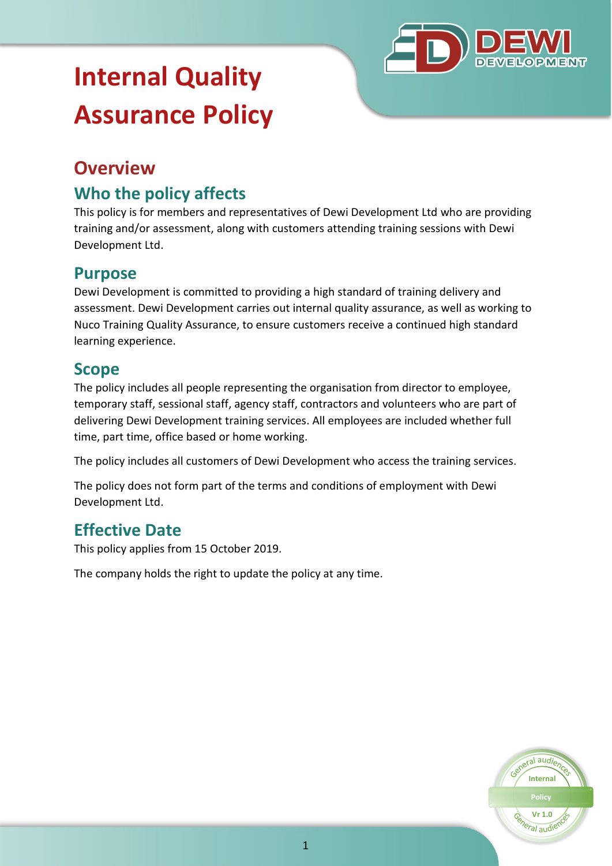

# **Internal Quality Assurance Policy**

# **Overview**

# **Who the policy affects**

This policy is for members and representatives of Dewi Development Ltd who are providing training and/or assessment, along with customers attending training sessions with Dewi Development Ltd.

## **Purpose**

Dewi Development is committed to providing a high standard of training delivery and assessment. Dewi Development carries out internal quality assurance, as well as working to Nuco Training Quality Assurance, to ensure customers receive a continued high standard learning experience.

#### **Scope**

The policy includes all people representing the organisation from director to employee, temporary staff, sessional staff, agency staff, contractors and volunteers who are part of delivering Dewi Development training services. All employees are included whether full time, part time, office based or home working.

The policy includes all customers of Dewi Development who access the training services.

The policy does not form part of the terms and conditions of employment with Dewi Development Ltd.

# **Effective Date**

This policy applies from 15 October 2019.

The company holds the right to update the policy at any time.

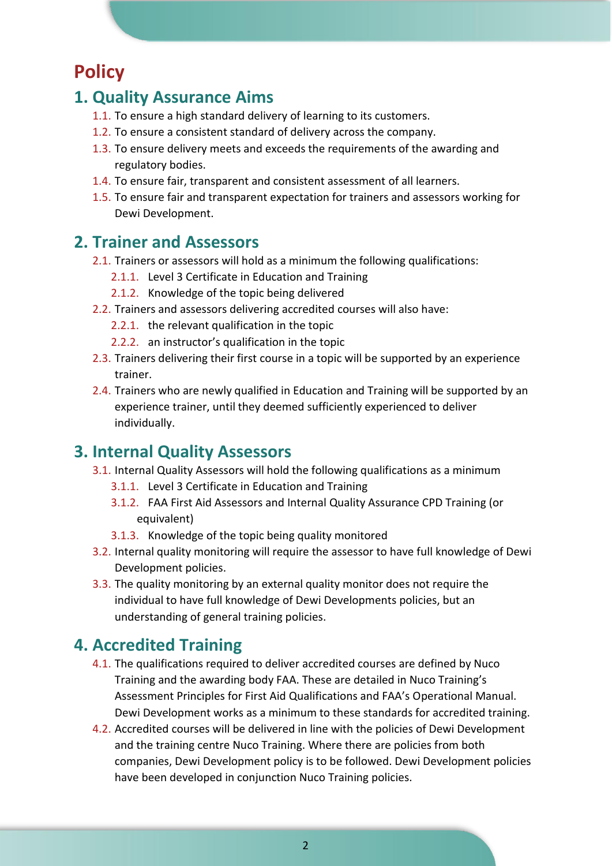# **Policy**

### **1. Quality Assurance Aims**

- 1.1. To ensure a high standard delivery of learning to its customers.
- 1.2. To ensure a consistent standard of delivery across the company.
- 1.3. To ensure delivery meets and exceeds the requirements of the awarding and regulatory bodies.
- 1.4. To ensure fair, transparent and consistent assessment of all learners.
- 1.5. To ensure fair and transparent expectation for trainers and assessors working for Dewi Development.

#### **2. Trainer and Assessors**

- 2.1. Trainers or assessors will hold as a minimum the following qualifications:
	- 2.1.1. Level 3 Certificate in Education and Training
	- 2.1.2. Knowledge of the topic being delivered
- 2.2. Trainers and assessors delivering accredited courses will also have:
	- 2.2.1. the relevant qualification in the topic
	- 2.2.2. an instructor's qualification in the topic
- 2.3. Trainers delivering their first course in a topic will be supported by an experience trainer.
- 2.4. Trainers who are newly qualified in Education and Training will be supported by an experience trainer, until they deemed sufficiently experienced to deliver individually.

#### **3. Internal Quality Assessors**

- 3.1. Internal Quality Assessors will hold the following qualifications as a minimum
	- 3.1.1. Level 3 Certificate in Education and Training
	- 3.1.2. FAA First Aid Assessors and Internal Quality Assurance CPD Training (or equivalent)
	- 3.1.3. Knowledge of the topic being quality monitored
- 3.2. Internal quality monitoring will require the assessor to have full knowledge of Dewi Development policies.
- 3.3. The quality monitoring by an external quality monitor does not require the individual to have full knowledge of Dewi Developments policies, but an understanding of general training policies.

#### **4. Accredited Training**

- 4.1. The qualifications required to deliver accredited courses are defined by Nuco Training and the awarding body FAA. These are detailed in Nuco Training's Assessment Principles for First Aid Qualifications and FAA's Operational Manual. Dewi Development works as a minimum to these standards for accredited training.
- 4.2. Accredited courses will be delivered in line with the policies of Dewi Development and the training centre Nuco Training. Where there are policies from both companies, Dewi Development policy is to be followed. Dewi Development policies have been developed in conjunction Nuco Training policies.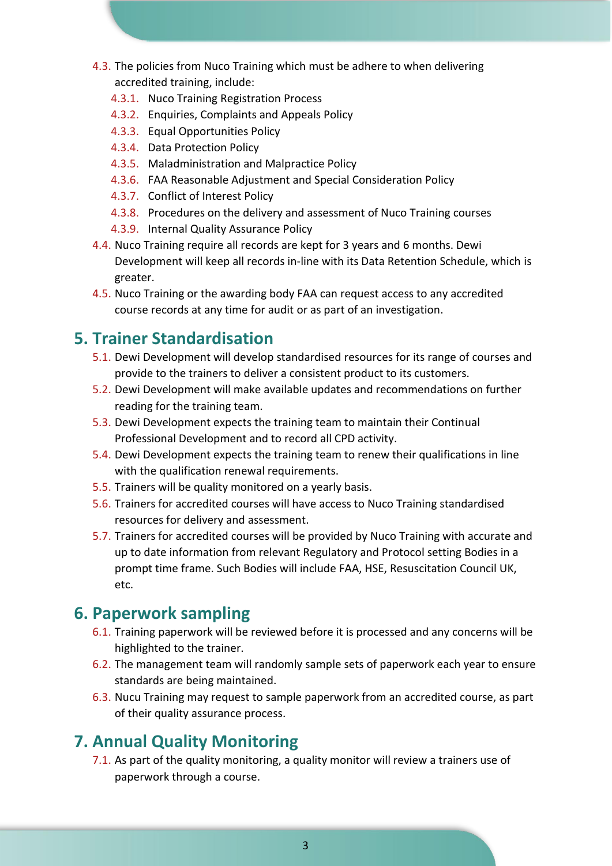- 4.3. The policies from Nuco Training which must be adhere to when delivering accredited training, include:
	- 4.3.1. Nuco Training Registration Process
	- 4.3.2. Enquiries, Complaints and Appeals Policy
	- 4.3.3. Equal Opportunities Policy
	- 4.3.4. Data Protection Policy
	- 4.3.5. Maladministration and Malpractice Policy
	- 4.3.6. FAA Reasonable Adjustment and Special Consideration Policy
	- 4.3.7. Conflict of Interest Policy
	- 4.3.8. Procedures on the delivery and assessment of Nuco Training courses
	- 4.3.9. Internal Quality Assurance Policy
- 4.4. Nuco Training require all records are kept for 3 years and 6 months. Dewi Development will keep all records in-line with its Data Retention Schedule, which is greater.
- 4.5. Nuco Training or the awarding body FAA can request access to any accredited course records at any time for audit or as part of an investigation.

## **5. Trainer Standardisation**

- 5.1. Dewi Development will develop standardised resources for its range of courses and provide to the trainers to deliver a consistent product to its customers.
- 5.2. Dewi Development will make available updates and recommendations on further reading for the training team.
- 5.3. Dewi Development expects the training team to maintain their Continual Professional Development and to record all CPD activity.
- 5.4. Dewi Development expects the training team to renew their qualifications in line with the qualification renewal requirements.
- 5.5. Trainers will be quality monitored on a yearly basis.
- 5.6. Trainers for accredited courses will have access to Nuco Training standardised resources for delivery and assessment.
- 5.7. Trainers for accredited courses will be provided by Nuco Training with accurate and up to date information from relevant Regulatory and Protocol setting Bodies in a prompt time frame. Such Bodies will include FAA, HSE, Resuscitation Council UK, etc.

## **6. Paperwork sampling**

- 6.1. Training paperwork will be reviewed before it is processed and any concerns will be highlighted to the trainer.
- 6.2. The management team will randomly sample sets of paperwork each year to ensure standards are being maintained.
- 6.3. Nucu Training may request to sample paperwork from an accredited course, as part of their quality assurance process.

# **7. Annual Quality Monitoring**

7.1. As part of the quality monitoring, a quality monitor will review a trainers use of paperwork through a course.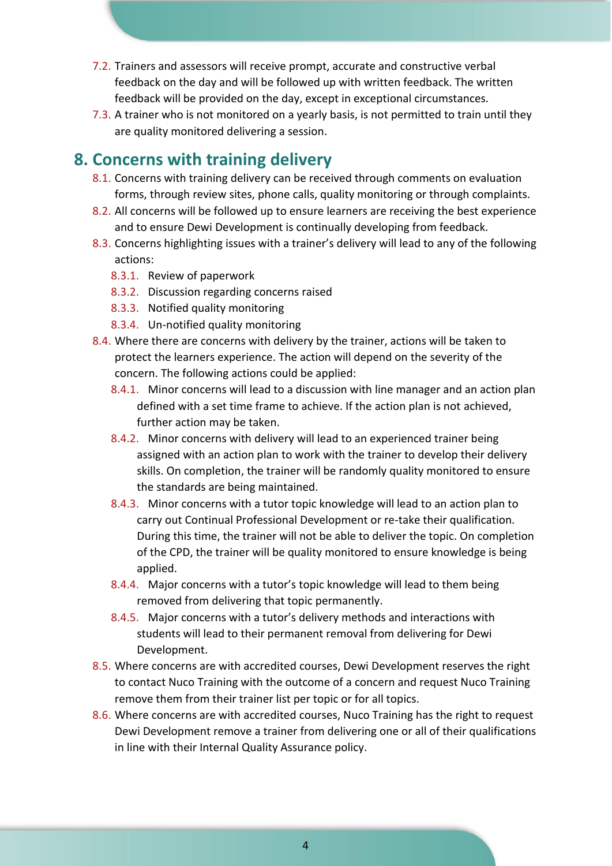- 7.2. Trainers and assessors will receive prompt, accurate and constructive verbal feedback on the day and will be followed up with written feedback. The written feedback will be provided on the day, except in exceptional circumstances.
- 7.3. A trainer who is not monitored on a yearly basis, is not permitted to train until they are quality monitored delivering a session.

### **8. Concerns with training delivery**

- 8.1. Concerns with training delivery can be received through comments on evaluation forms, through review sites, phone calls, quality monitoring or through complaints.
- 8.2. All concerns will be followed up to ensure learners are receiving the best experience and to ensure Dewi Development is continually developing from feedback.
- 8.3. Concerns highlighting issues with a trainer's delivery will lead to any of the following actions:
	- 8.3.1. Review of paperwork
	- 8.3.2. Discussion regarding concerns raised
	- 8.3.3. Notified quality monitoring
	- 8.3.4. Un-notified quality monitoring
- 8.4. Where there are concerns with delivery by the trainer, actions will be taken to protect the learners experience. The action will depend on the severity of the concern. The following actions could be applied:
	- 8.4.1. Minor concerns will lead to a discussion with line manager and an action plan defined with a set time frame to achieve. If the action plan is not achieved, further action may be taken.
	- 8.4.2. Minor concerns with delivery will lead to an experienced trainer being assigned with an action plan to work with the trainer to develop their delivery skills. On completion, the trainer will be randomly quality monitored to ensure the standards are being maintained.
	- 8.4.3. Minor concerns with a tutor topic knowledge will lead to an action plan to carry out Continual Professional Development or re-take their qualification. During this time, the trainer will not be able to deliver the topic. On completion of the CPD, the trainer will be quality monitored to ensure knowledge is being applied.
	- 8.4.4. Major concerns with a tutor's topic knowledge will lead to them being removed from delivering that topic permanently.
	- 8.4.5. Major concerns with a tutor's delivery methods and interactions with students will lead to their permanent removal from delivering for Dewi Development.
- 8.5. Where concerns are with accredited courses, Dewi Development reserves the right to contact Nuco Training with the outcome of a concern and request Nuco Training remove them from their trainer list per topic or for all topics.
- 8.6. Where concerns are with accredited courses, Nuco Training has the right to request Dewi Development remove a trainer from delivering one or all of their qualifications in line with their Internal Quality Assurance policy.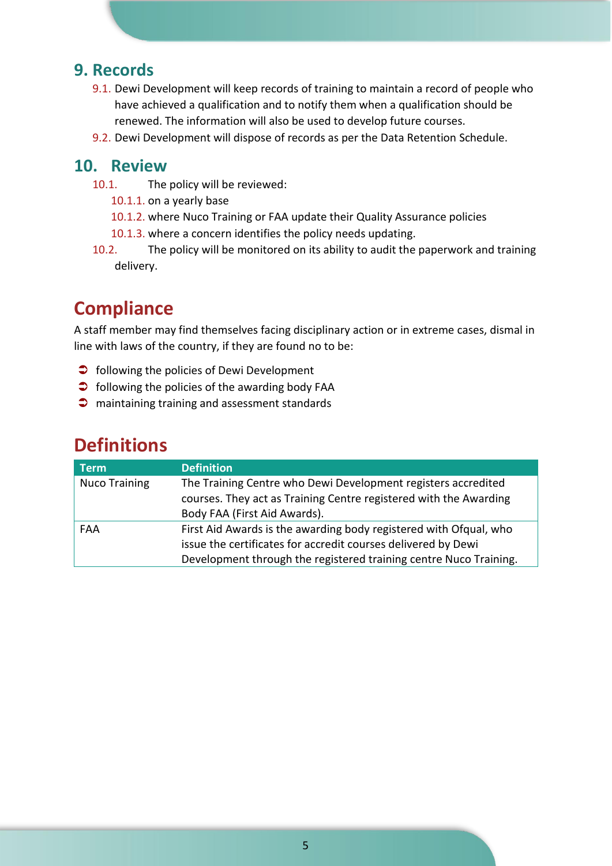#### **9. Records**

- 9.1. Dewi Development will keep records of training to maintain a record of people who have achieved a qualification and to notify them when a qualification should be renewed. The information will also be used to develop future courses.
- 9.2. Dewi Development will dispose of records as per the Data Retention Schedule.

#### **10. Review**

- 10.1. The policy will be reviewed:
	- 10.1.1. on a yearly base
	- 10.1.2. where Nuco Training or FAA update their Quality Assurance policies
	- 10.1.3. where a concern identifies the policy needs updating.
- 10.2. The policy will be monitored on its ability to audit the paperwork and training delivery.

# **Compliance**

A staff member may find themselves facing disciplinary action or in extreme cases, dismal in line with laws of the country, if they are found no to be:

- $\supset$  following the policies of Dewi Development
- $\bullet$  following the policies of the awarding body FAA
- **C** maintaining training and assessment standards

| <b>Term</b>          | <b>Definition</b>                                                                                                                  |
|----------------------|------------------------------------------------------------------------------------------------------------------------------------|
| <b>Nuco Training</b> | The Training Centre who Dewi Development registers accredited<br>courses. They act as Training Centre registered with the Awarding |
|                      | Body FAA (First Aid Awards).                                                                                                       |
| FAA                  | First Aid Awards is the awarding body registered with Ofqual, who                                                                  |
|                      | issue the certificates for accredit courses delivered by Dewi                                                                      |
|                      | Development through the registered training centre Nuco Training.                                                                  |

## **Definitions**